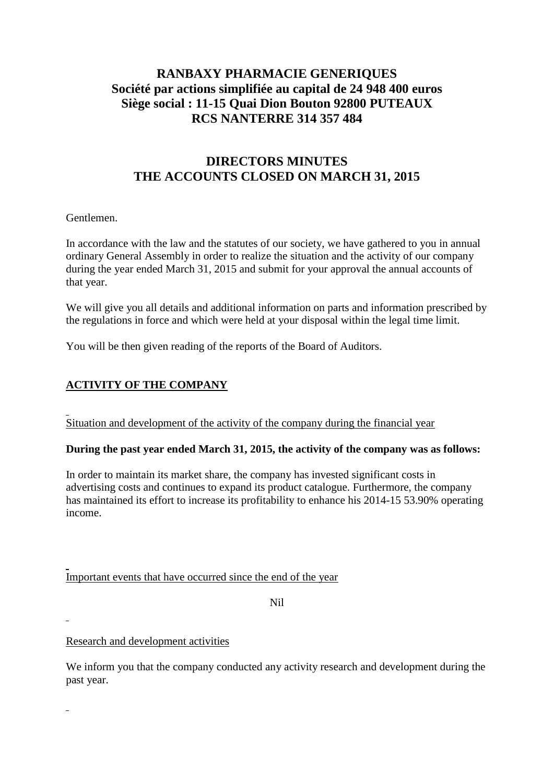# **RANBAXY PHARMACIE GENERIQUES Société par actions simplifiée au capital de 24 948 400 euros Siège social : 11-15 Quai Dion Bouton 92800 PUTEAUX RCS NANTERRE 314 357 484**

# **DIRECTORS MINUTES THE ACCOUNTS CLOSED ON MARCH 31, 2015**

#### Gentlemen.

In accordance with the law and the statutes of our society, we have gathered to you in annual ordinary General Assembly in order to realize the situation and the activity of our company during the year ended March 31, 2015 and submit for your approval the annual accounts of that year.

We will give you all details and additional information on parts and information prescribed by the regulations in force and which were held at your disposal within the legal time limit.

You will be then given reading of the reports of the Board of Auditors.

## **ACTIVITY OF THE COMPANY**

Situation and development of the activity of the company during the financial year

#### **During the past year ended March 31, 2015, the activity of the company was as follows:**

In order to maintain its market share, the company has invested significant costs in advertising costs and continues to expand its product catalogue. Furthermore, the company has maintained its effort to increase its profitability to enhance his 2014-15 53.90% operating income.

Important events that have occurred since the end of the year

Nil

Research and development activities

We inform you that the company conducted any activity research and development during the past year.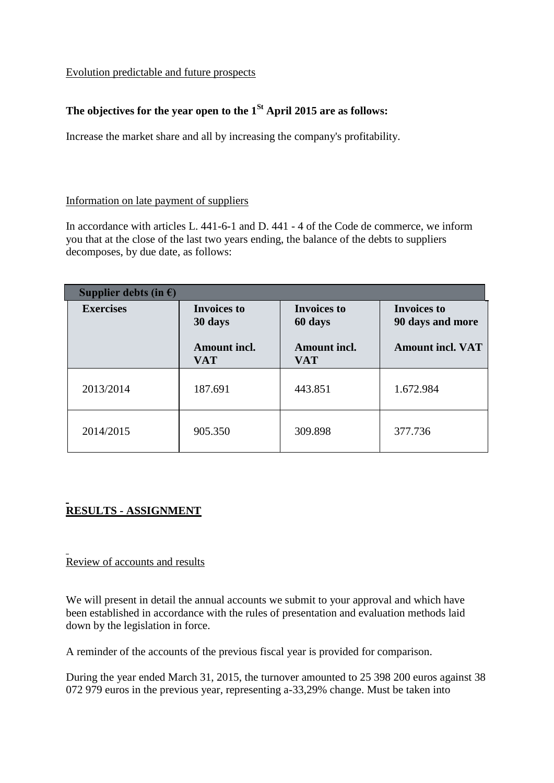#### Evolution predictable and future prospects

# **The objectives for the year open to the 1St April 2015 are as follows:**

Increase the market share and all by increasing the company's profitability.

#### Information on late payment of suppliers

In accordance with articles L. 441-6-1 and D. 441 - 4 of the Code de commerce, we inform you that at the close of the last two years ending, the balance of the debts to suppliers decomposes, by due date, as follows:

| Supplier debts (in $\epsilon$ ) |                                   |                                   |                                        |  |  |  |  |  |
|---------------------------------|-----------------------------------|-----------------------------------|----------------------------------------|--|--|--|--|--|
| <b>Exercises</b>                | <b>Invoices to</b><br>30 days     | <b>Invoices to</b><br>60 days     | <b>Invoices to</b><br>90 days and more |  |  |  |  |  |
|                                 | <b>Amount incl.</b><br><b>VAT</b> | <b>Amount incl.</b><br><b>VAT</b> | <b>Amount incl. VAT</b>                |  |  |  |  |  |
| 2013/2014                       | 187.691                           | 443.851                           | 1.672.984                              |  |  |  |  |  |
| 2014/2015                       | 905.350                           | 309.898                           | 377.736                                |  |  |  |  |  |

# **RESULTS - ASSIGNMENT**

#### Review of accounts and results

We will present in detail the annual accounts we submit to your approval and which have been established in accordance with the rules of presentation and evaluation methods laid down by the legislation in force.

A reminder of the accounts of the previous fiscal year is provided for comparison.

During the year ended March 31, 2015, the turnover amounted to 25 398 200 euros against 38 072 979 euros in the previous year, representing a-33,29% change. Must be taken into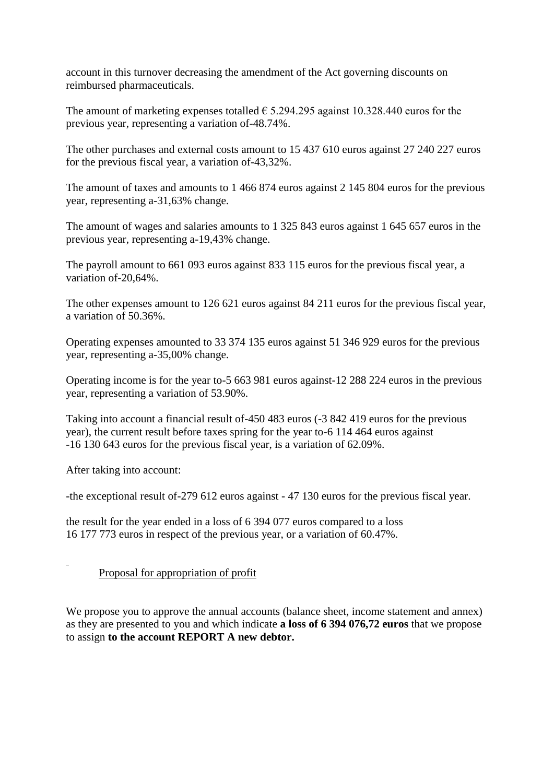account in this turnover decreasing the amendment of the Act governing discounts on reimbursed pharmaceuticals.

The amount of marketing expenses totalled  $\epsilon$  5.294.295 against 10.328.440 euros for the previous year, representing a variation of-48.74%.

The other purchases and external costs amount to 15 437 610 euros against 27 240 227 euros for the previous fiscal year, a variation of-43,32%.

The amount of taxes and amounts to 1 466 874 euros against 2 145 804 euros for the previous year, representing a-31,63% change.

The amount of wages and salaries amounts to 1 325 843 euros against 1 645 657 euros in the previous year, representing a-19,43% change.

The payroll amount to 661 093 euros against 833 115 euros for the previous fiscal year, a variation of-20,64%.

The other expenses amount to 126 621 euros against 84 211 euros for the previous fiscal year, a variation of 50.36%.

Operating expenses amounted to 33 374 135 euros against 51 346 929 euros for the previous year, representing a-35,00% change.

Operating income is for the year to-5 663 981 euros against-12 288 224 euros in the previous year, representing a variation of 53.90%.

Taking into account a financial result of-450 483 euros (-3 842 419 euros for the previous year), the current result before taxes spring for the year to-6 114 464 euros against -16 130 643 euros for the previous fiscal year, is a variation of 62.09%.

After taking into account:

-the exceptional result of-279 612 euros against - 47 130 euros for the previous fiscal year.

the result for the year ended in a loss of 6 394 077 euros compared to a loss 16 177 773 euros in respect of the previous year, or a variation of 60.47%.

#### Proposal for appropriation of profit

We propose you to approve the annual accounts (balance sheet, income statement and annex) as they are presented to you and which indicate **a loss of 6 394 076,72 euros** that we propose to assign **to the account REPORT A new debtor.**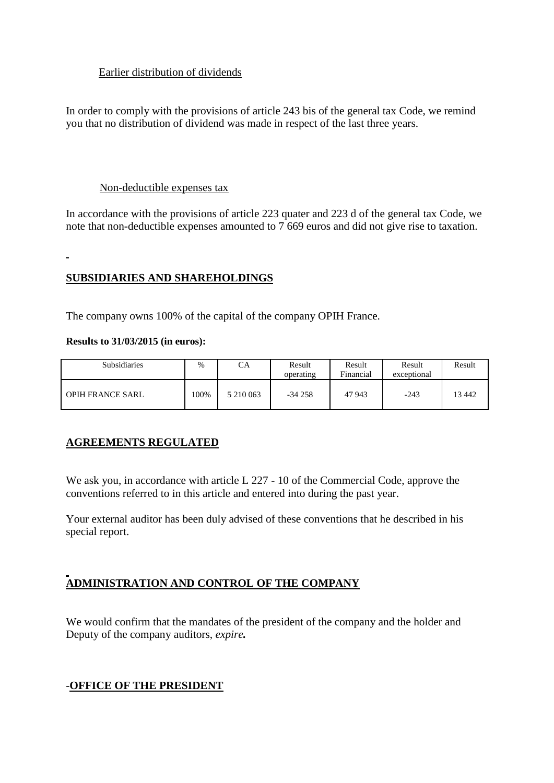### Earlier distribution of dividends

In order to comply with the provisions of article 243 bis of the general tax Code, we remind you that no distribution of dividend was made in respect of the last three years.

#### Non-deductible expenses tax

In accordance with the provisions of article 223 quater and 223 d of the general tax Code, we note that non-deductible expenses amounted to 7 669 euros and did not give rise to taxation.

#### $\blacksquare$

#### **SUBSIDIARIES AND SHAREHOLDINGS**

The company owns 100% of the capital of the company OPIH France.

#### **Results to 31/03/2015 (in euros):**

| <b>Subsidiaries</b>     | $\frac{0}{0}$ | CA        | Result<br>operating | Result<br>Financial | Result<br>exceptional | Result |
|-------------------------|---------------|-----------|---------------------|---------------------|-----------------------|--------|
| <b>OPIH FRANCE SARL</b> | 100%          | 5 210 063 | $-34258$            | 47 943              | $-243$                | 13442  |

## **AGREEMENTS REGULATED**

We ask you, in accordance with article L 227 - 10 of the Commercial Code, approve the conventions referred to in this article and entered into during the past year.

Your external auditor has been duly advised of these conventions that he described in his special report.

## **ADMINISTRATION AND CONTROL OF THE COMPANY**

We would confirm that the mandates of the president of the company and the holder and Deputy of the company auditors, *expire.*

#### -**OFFICE OF THE PRESIDENT**